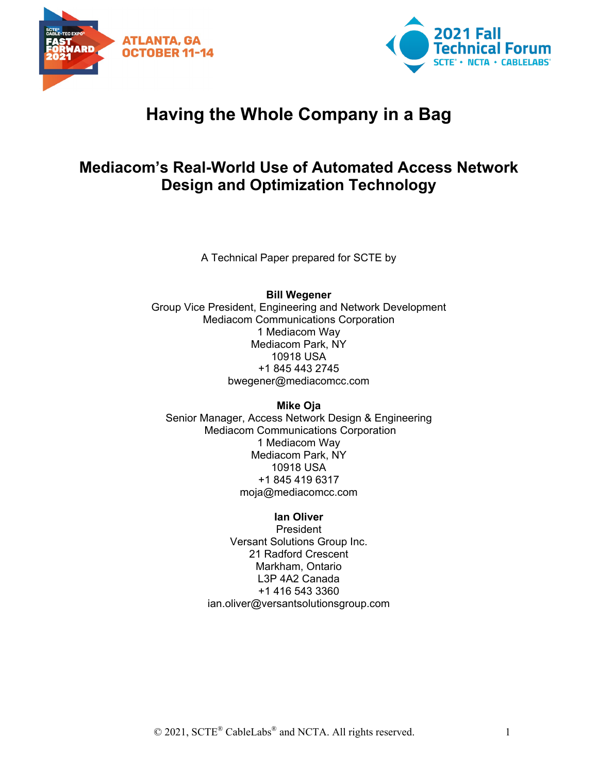



# **Having the Whole Company in a Bag**

## **Mediacom's Real-World Use of Automated Access Network Design and Optimization Technology**

A Technical Paper prepared for SCTE by

#### **Bill Wegener**

Group Vice President, Engineering and Network Development Mediacom Communications Corporation 1 Mediacom Way Mediacom Park, NY 10918 USA +1 845 443 2745 bwegener@mediacomcc.com

**Mike Oja**

Senior Manager, Access Network Design & Engineering Mediacom Communications Corporation 1 Mediacom Way Mediacom Park, NY 10918 USA +1 845 419 6317 moja@mediacomcc.com

#### **Ian Oliver**

President Versant Solutions Group Inc. 21 Radford Crescent Markham, Ontario L3P 4A2 Canada +1 416 543 3360 ian.oliver@versantsolutionsgroup.com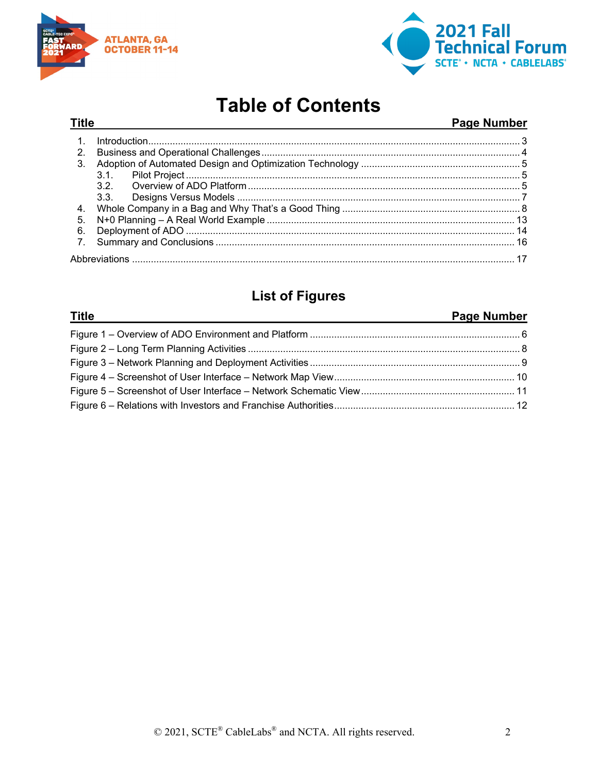

**Title** 



# **Table of Contents**

#### **Page Number**

|    | Introduction 3 |  |
|----|----------------|--|
| 2. |                |  |
| 3. |                |  |
|    | $3.1$ .        |  |
|    | 32 P           |  |
|    |                |  |
| 4. |                |  |
| 5. |                |  |
| 6. |                |  |
|    |                |  |
|    |                |  |

### **List of Figures**

#### **Title Page Number**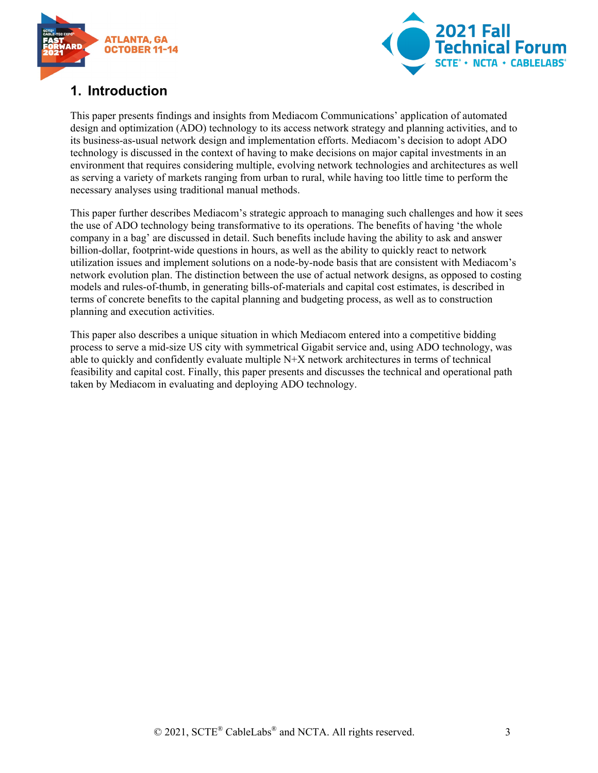



### <span id="page-2-0"></span>**1. Introduction**

This paper presents findings and insights from Mediacom Communications' application of automated design and optimization (ADO) technology to its access network strategy and planning activities, and to its business-as-usual network design and implementation efforts. Mediacom's decision to adopt ADO technology is discussed in the context of having to make decisions on major capital investments in an environment that requires considering multiple, evolving network technologies and architectures as well as serving a variety of markets ranging from urban to rural, while having too little time to perform the necessary analyses using traditional manual methods.

This paper further describes Mediacom's strategic approach to managing such challenges and how it sees the use of ADO technology being transformative to its operations. The benefits of having 'the whole company in a bag' are discussed in detail. Such benefits include having the ability to ask and answer billion-dollar, footprint-wide questions in hours, as well as the ability to quickly react to network utilization issues and implement solutions on a node-by-node basis that are consistent with Mediacom's network evolution plan. The distinction between the use of actual network designs, as opposed to costing models and rules-of-thumb, in generating bills-of-materials and capital cost estimates, is described in terms of concrete benefits to the capital planning and budgeting process, as well as to construction planning and execution activities.

This paper also describes a unique situation in which Mediacom entered into a competitive bidding process to serve a mid-size US city with symmetrical Gigabit service and, using ADO technology, was able to quickly and confidently evaluate multiple N+X network architectures in terms of technical feasibility and capital cost. Finally, this paper presents and discusses the technical and operational path taken by Mediacom in evaluating and deploying ADO technology.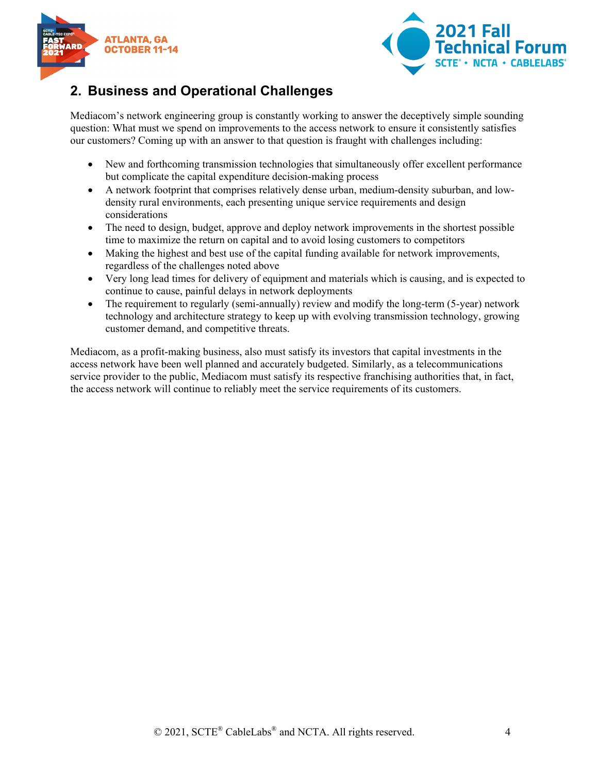



#### <span id="page-3-0"></span>**2. Business and Operational Challenges**

Mediacom's network engineering group is constantly working to answer the deceptively simple sounding question: What must we spend on improvements to the access network to ensure it consistently satisfies our customers? Coming up with an answer to that question is fraught with challenges including:

- New and forthcoming transmission technologies that simultaneously offer excellent performance but complicate the capital expenditure decision-making process
- A network footprint that comprises relatively dense urban, medium-density suburban, and lowdensity rural environments, each presenting unique service requirements and design considerations
- The need to design, budget, approve and deploy network improvements in the shortest possible time to maximize the return on capital and to avoid losing customers to competitors
- Making the highest and best use of the capital funding available for network improvements, regardless of the challenges noted above
- Very long lead times for delivery of equipment and materials which is causing, and is expected to continue to cause, painful delays in network deployments
- The requirement to regularly (semi-annually) review and modify the long-term (5-year) network technology and architecture strategy to keep up with evolving transmission technology, growing customer demand, and competitive threats.

Mediacom, as a profit-making business, also must satisfy its investors that capital investments in the access network have been well planned and accurately budgeted. Similarly, as a telecommunications service provider to the public, Mediacom must satisfy its respective franchising authorities that, in fact, the access network will continue to reliably meet the service requirements of its customers.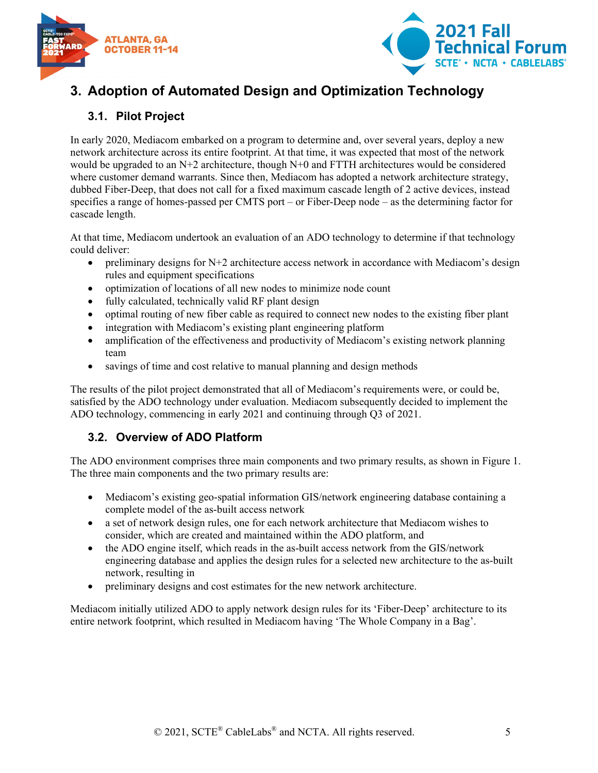



## <span id="page-4-0"></span>**3. Adoption of Automated Design and Optimization Technology**

#### <span id="page-4-1"></span>**3.1. Pilot Project**

In early 2020, Mediacom embarked on a program to determine and, over several years, deploy a new network architecture across its entire footprint. At that time, it was expected that most of the network would be upgraded to an N+2 architecture, though N+0 and FTTH architectures would be considered where customer demand warrants. Since then, Mediacom has adopted a network architecture strategy, dubbed Fiber-Deep, that does not call for a fixed maximum cascade length of 2 active devices, instead specifies a range of homes-passed per CMTS port – or Fiber-Deep node – as the determining factor for cascade length.

At that time, Mediacom undertook an evaluation of an ADO technology to determine if that technology could deliver:

- preliminary designs for  $N+2$  architecture access network in accordance with Mediacom's design rules and equipment specifications
- optimization of locations of all new nodes to minimize node count
- fully calculated, technically valid RF plant design
- optimal routing of new fiber cable as required to connect new nodes to the existing fiber plant
- integration with Mediacom's existing plant engineering platform
- amplification of the effectiveness and productivity of Mediacom's existing network planning team
- savings of time and cost relative to manual planning and design methods

The results of the pilot project demonstrated that all of Mediacom's requirements were, or could be, satisfied by the ADO technology under evaluation. Mediacom subsequently decided to implement the ADO technology, commencing in early 2021 and continuing through Q3 of 2021.

#### <span id="page-4-2"></span>**3.2. Overview of ADO Platform**

The ADO environment comprises three main components and two primary results, as shown in Figure 1. The three main components and the two primary results are:

- Mediacom's existing geo-spatial information GIS/network engineering database containing a complete model of the as-built access network
- a set of network design rules, one for each network architecture that Mediacom wishes to consider, which are created and maintained within the ADO platform, and
- the ADO engine itself, which reads in the as-built access network from the GIS/network engineering database and applies the design rules for a selected new architecture to the as-built network, resulting in
- preliminary designs and cost estimates for the new network architecture.

Mediacom initially utilized ADO to apply network design rules for its 'Fiber-Deep' architecture to its entire network footprint, which resulted in Mediacom having 'The Whole Company in a Bag'.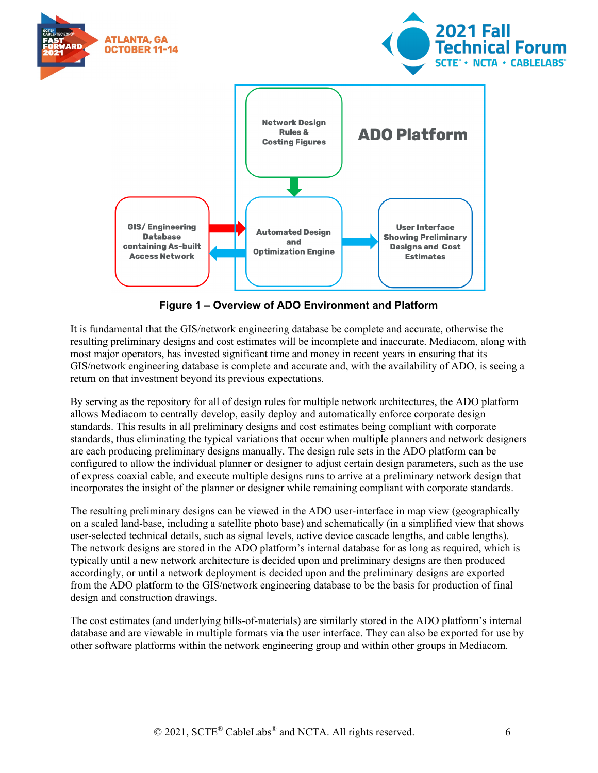

**Figure 1 – Overview of ADO Environment and Platform**

<span id="page-5-0"></span>It is fundamental that the GIS/network engineering database be complete and accurate, otherwise the resulting preliminary designs and cost estimates will be incomplete and inaccurate. Mediacom, along with most major operators, has invested significant time and money in recent years in ensuring that its GIS/network engineering database is complete and accurate and, with the availability of ADO, is seeing a return on that investment beyond its previous expectations.

By serving as the repository for all of design rules for multiple network architectures, the ADO platform allows Mediacom to centrally develop, easily deploy and automatically enforce corporate design standards. This results in all preliminary designs and cost estimates being compliant with corporate standards, thus eliminating the typical variations that occur when multiple planners and network designers are each producing preliminary designs manually. The design rule sets in the ADO platform can be configured to allow the individual planner or designer to adjust certain design parameters, such as the use of express coaxial cable, and execute multiple designs runs to arrive at a preliminary network design that incorporates the insight of the planner or designer while remaining compliant with corporate standards.

The resulting preliminary designs can be viewed in the ADO user-interface in map view (geographically on a scaled land-base, including a satellite photo base) and schematically (in a simplified view that shows user-selected technical details, such as signal levels, active device cascade lengths, and cable lengths). The network designs are stored in the ADO platform's internal database for as long as required, which is typically until a new network architecture is decided upon and preliminary designs are then produced accordingly, or until a network deployment is decided upon and the preliminary designs are exported from the ADO platform to the GIS/network engineering database to be the basis for production of final design and construction drawings.

The cost estimates (and underlying bills-of-materials) are similarly stored in the ADO platform's internal database and are viewable in multiple formats via the user interface. They can also be exported for use by other software platforms within the network engineering group and within other groups in Mediacom.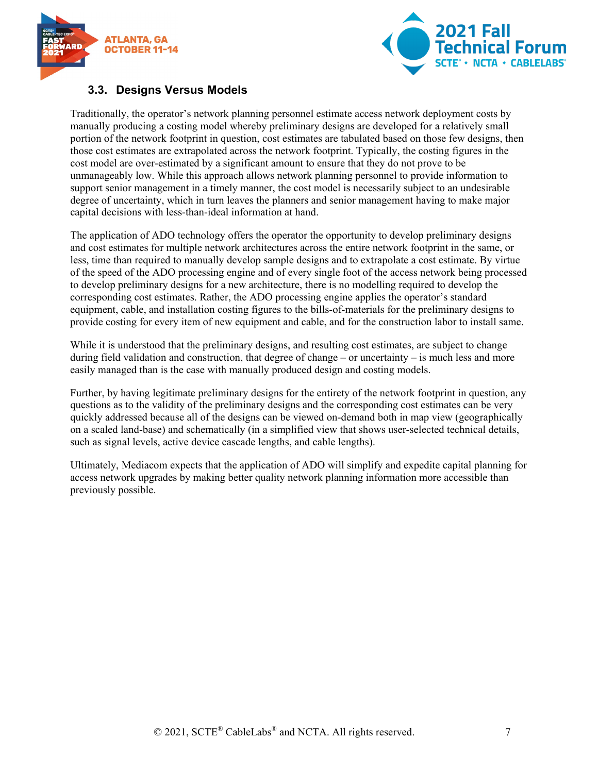



#### <span id="page-6-0"></span>**3.3. Designs Versus Models**

Traditionally, the operator's network planning personnel estimate access network deployment costs by manually producing a costing model whereby preliminary designs are developed for a relatively small portion of the network footprint in question, cost estimates are tabulated based on those few designs, then those cost estimates are extrapolated across the network footprint. Typically, the costing figures in the cost model are over-estimated by a significant amount to ensure that they do not prove to be unmanageably low. While this approach allows network planning personnel to provide information to support senior management in a timely manner, the cost model is necessarily subject to an undesirable degree of uncertainty, which in turn leaves the planners and senior management having to make major capital decisions with less-than-ideal information at hand.

The application of ADO technology offers the operator the opportunity to develop preliminary designs and cost estimates for multiple network architectures across the entire network footprint in the same, or less, time than required to manually develop sample designs and to extrapolate a cost estimate. By virtue of the speed of the ADO processing engine and of every single foot of the access network being processed to develop preliminary designs for a new architecture, there is no modelling required to develop the corresponding cost estimates. Rather, the ADO processing engine applies the operator's standard equipment, cable, and installation costing figures to the bills-of-materials for the preliminary designs to provide costing for every item of new equipment and cable, and for the construction labor to install same.

While it is understood that the preliminary designs, and resulting cost estimates, are subject to change during field validation and construction, that degree of change – or uncertainty – is much less and more easily managed than is the case with manually produced design and costing models.

Further, by having legitimate preliminary designs for the entirety of the network footprint in question, any questions as to the validity of the preliminary designs and the corresponding cost estimates can be very quickly addressed because all of the designs can be viewed on-demand both in map view (geographically on a scaled land-base) and schematically (in a simplified view that shows user-selected technical details, such as signal levels, active device cascade lengths, and cable lengths).

Ultimately, Mediacom expects that the application of ADO will simplify and expedite capital planning for access network upgrades by making better quality network planning information more accessible than previously possible.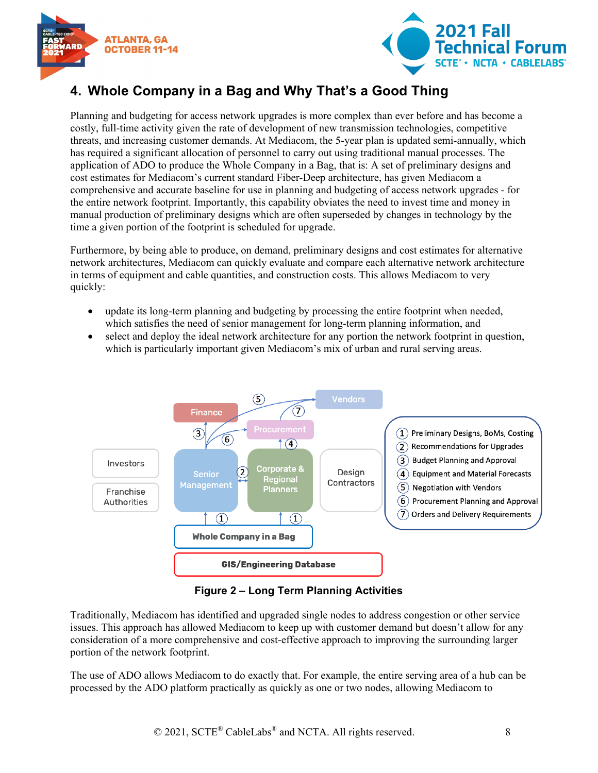



## <span id="page-7-0"></span>**4. Whole Company in a Bag and Why That's a Good Thing**

Planning and budgeting for access network upgrades is more complex than ever before and has become a costly, full-time activity given the rate of development of new transmission technologies, competitive threats, and increasing customer demands. At Mediacom, the 5-year plan is updated semi-annually, which has required a significant allocation of personnel to carry out using traditional manual processes. The application of ADO to produce the Whole Company in a Bag, that is: A set of preliminary designs and cost estimates for Mediacom's current standard Fiber-Deep architecture, has given Mediacom a comprehensive and accurate baseline for use in planning and budgeting of access network upgrades - for the entire network footprint. Importantly, this capability obviates the need to invest time and money in manual production of preliminary designs which are often superseded by changes in technology by the time a given portion of the footprint is scheduled for upgrade.

Furthermore, by being able to produce, on demand, preliminary designs and cost estimates for alternative network architectures, Mediacom can quickly evaluate and compare each alternative network architecture in terms of equipment and cable quantities, and construction costs. This allows Mediacom to very quickly:

- update its long-term planning and budgeting by processing the entire footprint when needed, which satisfies the need of senior management for long-term planning information, and
- select and deploy the ideal network architecture for any portion the network footprint in question, which is particularly important given Mediacom's mix of urban and rural serving areas.



**Figure 2 – Long Term Planning Activities**

<span id="page-7-1"></span>Traditionally, Mediacom has identified and upgraded single nodes to address congestion or other service issues. This approach has allowed Mediacom to keep up with customer demand but doesn't allow for any consideration of a more comprehensive and cost-effective approach to improving the surrounding larger portion of the network footprint.

The use of ADO allows Mediacom to do exactly that. For example, the entire serving area of a hub can be processed by the ADO platform practically as quickly as one or two nodes, allowing Mediacom to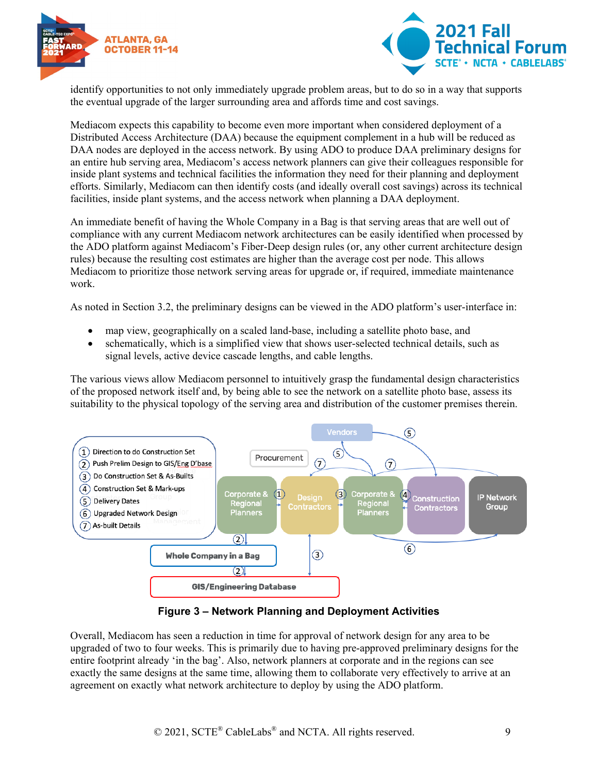



identify opportunities to not only immediately upgrade problem areas, but to do so in a way that supports the eventual upgrade of the larger surrounding area and affords time and cost savings.

Mediacom expects this capability to become even more important when considered deployment of a Distributed Access Architecture (DAA) because the equipment complement in a hub will be reduced as DAA nodes are deployed in the access network. By using ADO to produce DAA preliminary designs for an entire hub serving area, Mediacom's access network planners can give their colleagues responsible for inside plant systems and technical facilities the information they need for their planning and deployment efforts. Similarly, Mediacom can then identify costs (and ideally overall cost savings) across its technical facilities, inside plant systems, and the access network when planning a DAA deployment.

An immediate benefit of having the Whole Company in a Bag is that serving areas that are well out of compliance with any current Mediacom network architectures can be easily identified when processed by the ADO platform against Mediacom's Fiber-Deep design rules (or, any other current architecture design rules) because the resulting cost estimates are higher than the average cost per node. This allows Mediacom to prioritize those network serving areas for upgrade or, if required, immediate maintenance work.

As noted in Section 3.2, the preliminary designs can be viewed in the ADO platform's user-interface in:

- map view, geographically on a scaled land-base, including a satellite photo base, and
- schematically, which is a simplified view that shows user-selected technical details, such as signal levels, active device cascade lengths, and cable lengths.

The various views allow Mediacom personnel to intuitively grasp the fundamental design characteristics of the proposed network itself and, by being able to see the network on a satellite photo base, assess its suitability to the physical topology of the serving area and distribution of the customer premises therein.



**Figure 3 – Network Planning and Deployment Activities**

<span id="page-8-0"></span>Overall, Mediacom has seen a reduction in time for approval of network design for any area to be upgraded of two to four weeks. This is primarily due to having pre-approved preliminary designs for the entire footprint already 'in the bag'. Also, network planners at corporate and in the regions can see exactly the same designs at the same time, allowing them to collaborate very effectively to arrive at an agreement on exactly what network architecture to deploy by using the ADO platform.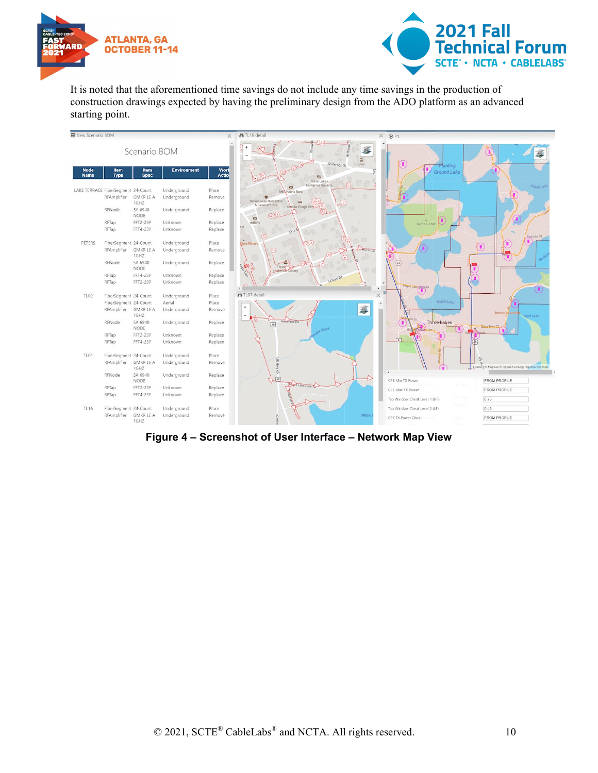



It is noted that the aforementioned time savings do not include any time savings in the production of construction drawings expected by having the preliminary design from the ADO platform as an advanced starting point.



<span id="page-9-0"></span>**Figure 4 – Screenshot of User Interface – Network Map View**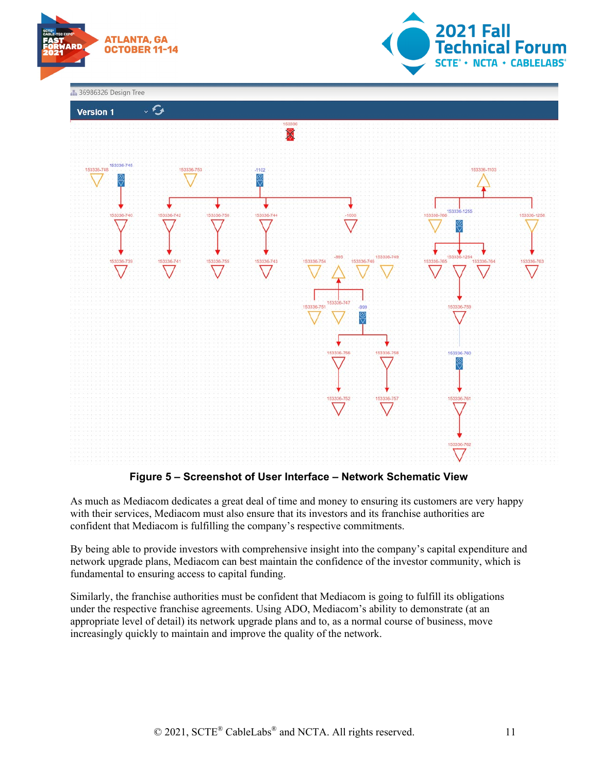



**1** 36986326 Design Tree



**Figure 5 – Screenshot of User Interface – Network Schematic View**

<span id="page-10-0"></span>As much as Mediacom dedicates a great deal of time and money to ensuring its customers are very happy with their services, Mediacom must also ensure that its investors and its franchise authorities are confident that Mediacom is fulfilling the company's respective commitments.

By being able to provide investors with comprehensive insight into the company's capital expenditure and network upgrade plans, Mediacom can best maintain the confidence of the investor community, which is fundamental to ensuring access to capital funding.

Similarly, the franchise authorities must be confident that Mediacom is going to fulfill its obligations under the respective franchise agreements. Using ADO, Mediacom's ability to demonstrate (at an appropriate level of detail) its network upgrade plans and to, as a normal course of business, move increasingly quickly to maintain and improve the quality of the network.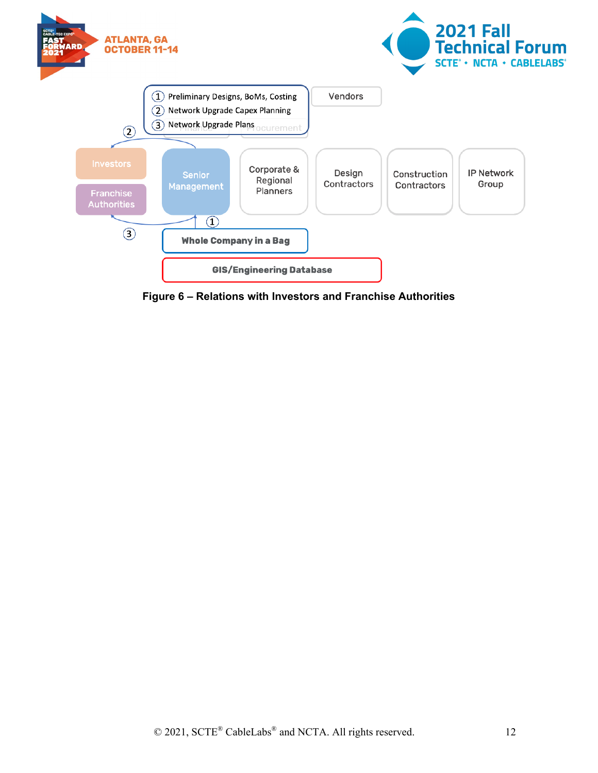

<span id="page-11-0"></span>**Figure 6 – Relations with Investors and Franchise Authorities**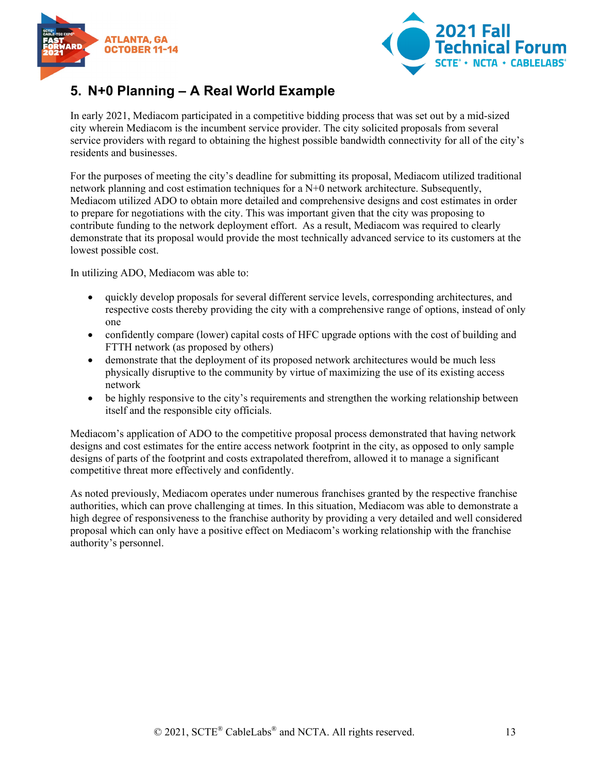



### <span id="page-12-0"></span>**5. N+0 Planning – A Real World Example**

In early 2021, Mediacom participated in a competitive bidding process that was set out by a mid-sized city wherein Mediacom is the incumbent service provider. The city solicited proposals from several service providers with regard to obtaining the highest possible bandwidth connectivity for all of the city's residents and businesses.

For the purposes of meeting the city's deadline for submitting its proposal, Mediacom utilized traditional network planning and cost estimation techniques for a N+0 network architecture. Subsequently, Mediacom utilized ADO to obtain more detailed and comprehensive designs and cost estimates in order to prepare for negotiations with the city. This was important given that the city was proposing to contribute funding to the network deployment effort. As a result, Mediacom was required to clearly demonstrate that its proposal would provide the most technically advanced service to its customers at the lowest possible cost.

In utilizing ADO, Mediacom was able to:

- quickly develop proposals for several different service levels, corresponding architectures, and respective costs thereby providing the city with a comprehensive range of options, instead of only one
- confidently compare (lower) capital costs of HFC upgrade options with the cost of building and FTTH network (as proposed by others)
- demonstrate that the deployment of its proposed network architectures would be much less physically disruptive to the community by virtue of maximizing the use of its existing access network
- be highly responsive to the city's requirements and strengthen the working relationship between itself and the responsible city officials.

Mediacom's application of ADO to the competitive proposal process demonstrated that having network designs and cost estimates for the entire access network footprint in the city, as opposed to only sample designs of parts of the footprint and costs extrapolated therefrom, allowed it to manage a significant competitive threat more effectively and confidently.

As noted previously, Mediacom operates under numerous franchises granted by the respective franchise authorities, which can prove challenging at times. In this situation, Mediacom was able to demonstrate a high degree of responsiveness to the franchise authority by providing a very detailed and well considered proposal which can only have a positive effect on Mediacom's working relationship with the franchise authority's personnel.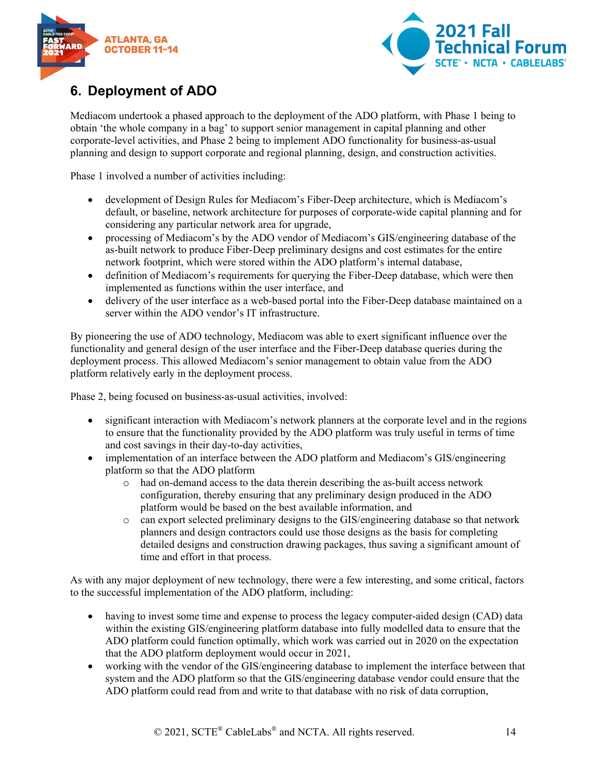



## <span id="page-13-0"></span>**6. Deployment of ADO**

Mediacom undertook a phased approach to the deployment of the ADO platform, with Phase 1 being to obtain 'the whole company in a bag' to support senior management in capital planning and other corporate-level activities, and Phase 2 being to implement ADO functionality for business-as-usual planning and design to support corporate and regional planning, design, and construction activities.

Phase 1 involved a number of activities including:

- development of Design Rules for Mediacom's Fiber-Deep architecture, which is Mediacom's default, or baseline, network architecture for purposes of corporate-wide capital planning and for considering any particular network area for upgrade,
- processing of Mediacom's by the ADO vendor of Mediacom's GIS/engineering database of the as-built network to produce Fiber-Deep preliminary designs and cost estimates for the entire network footprint, which were stored within the ADO platform's internal database,
- definition of Mediacom's requirements for querying the Fiber-Deep database, which were then implemented as functions within the user interface, and
- delivery of the user interface as a web-based portal into the Fiber-Deep database maintained on a server within the ADO vendor's IT infrastructure.

By pioneering the use of ADO technology, Mediacom was able to exert significant influence over the functionality and general design of the user interface and the Fiber-Deep database queries during the deployment process. This allowed Mediacom's senior management to obtain value from the ADO platform relatively early in the deployment process.

Phase 2, being focused on business-as-usual activities, involved:

- significant interaction with Mediacom's network planners at the corporate level and in the regions to ensure that the functionality provided by the ADO platform was truly useful in terms of time and cost savings in their day-to-day activities,
- implementation of an interface between the ADO platform and Mediacom's GIS/engineering platform so that the ADO platform
	- o had on-demand access to the data therein describing the as-built access network configuration, thereby ensuring that any preliminary design produced in the ADO platform would be based on the best available information, and
	- o can export selected preliminary designs to the GIS/engineering database so that network planners and design contractors could use those designs as the basis for completing detailed designs and construction drawing packages, thus saving a significant amount of time and effort in that process.

As with any major deployment of new technology, there were a few interesting, and some critical, factors to the successful implementation of the ADO platform, including:

- having to invest some time and expense to process the legacy computer-aided design (CAD) data within the existing GIS/engineering platform database into fully modelled data to ensure that the ADO platform could function optimally, which work was carried out in 2020 on the expectation that the ADO platform deployment would occur in 2021,
- working with the vendor of the GIS/engineering database to implement the interface between that system and the ADO platform so that the GIS/engineering database vendor could ensure that the ADO platform could read from and write to that database with no risk of data corruption,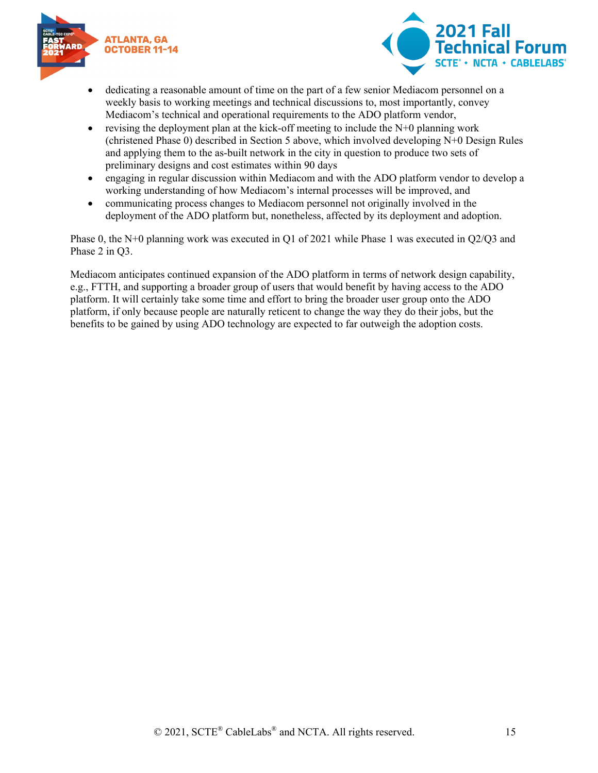



- dedicating a reasonable amount of time on the part of a few senior Mediacom personnel on a weekly basis to working meetings and technical discussions to, most importantly, convey Mediacom's technical and operational requirements to the ADO platform vendor,
- revising the deployment plan at the kick-off meeting to include the  $N+0$  planning work (christened Phase 0) described in Section 5 above, which involved developing N+0 Design Rules and applying them to the as-built network in the city in question to produce two sets of preliminary designs and cost estimates within 90 days
- engaging in regular discussion within Mediacom and with the ADO platform vendor to develop a working understanding of how Mediacom's internal processes will be improved, and
- communicating process changes to Mediacom personnel not originally involved in the deployment of the ADO platform but, nonetheless, affected by its deployment and adoption.

Phase 0, the N+0 planning work was executed in Q1 of 2021 while Phase 1 was executed in Q2/Q3 and Phase 2 in Q3.

Mediacom anticipates continued expansion of the ADO platform in terms of network design capability, e.g., FTTH, and supporting a broader group of users that would benefit by having access to the ADO platform. It will certainly take some time and effort to bring the broader user group onto the ADO platform, if only because people are naturally reticent to change the way they do their jobs, but the benefits to be gained by using ADO technology are expected to far outweigh the adoption costs.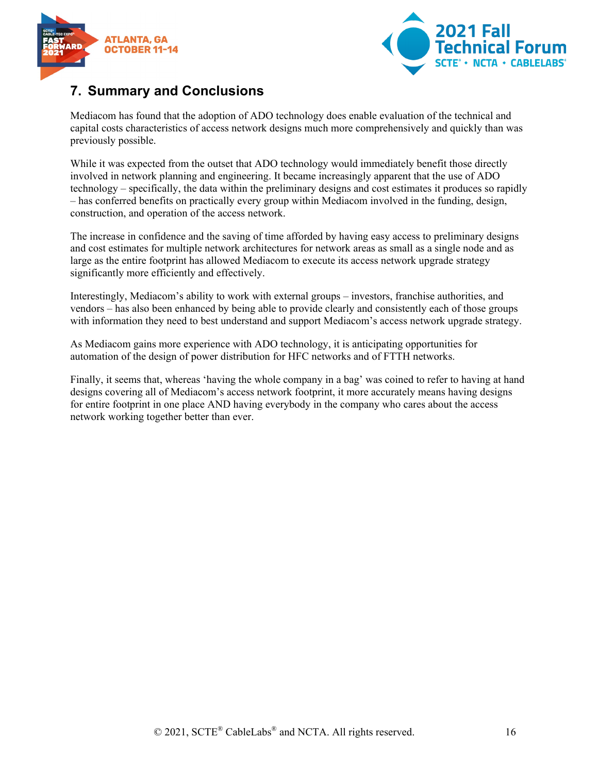



#### <span id="page-15-0"></span>**7. Summary and Conclusions**

Mediacom has found that the adoption of ADO technology does enable evaluation of the technical and capital costs characteristics of access network designs much more comprehensively and quickly than was previously possible.

While it was expected from the outset that ADO technology would immediately benefit those directly involved in network planning and engineering. It became increasingly apparent that the use of ADO technology – specifically, the data within the preliminary designs and cost estimates it produces so rapidly – has conferred benefits on practically every group within Mediacom involved in the funding, design, construction, and operation of the access network.

The increase in confidence and the saving of time afforded by having easy access to preliminary designs and cost estimates for multiple network architectures for network areas as small as a single node and as large as the entire footprint has allowed Mediacom to execute its access network upgrade strategy significantly more efficiently and effectively.

Interestingly, Mediacom's ability to work with external groups – investors, franchise authorities, and vendors – has also been enhanced by being able to provide clearly and consistently each of those groups with information they need to best understand and support Mediacom's access network upgrade strategy.

As Mediacom gains more experience with ADO technology, it is anticipating opportunities for automation of the design of power distribution for HFC networks and of FTTH networks.

Finally, it seems that, whereas 'having the whole company in a bag' was coined to refer to having at hand designs covering all of Mediacom's access network footprint, it more accurately means having designs for entire footprint in one place AND having everybody in the company who cares about the access network working together better than ever.